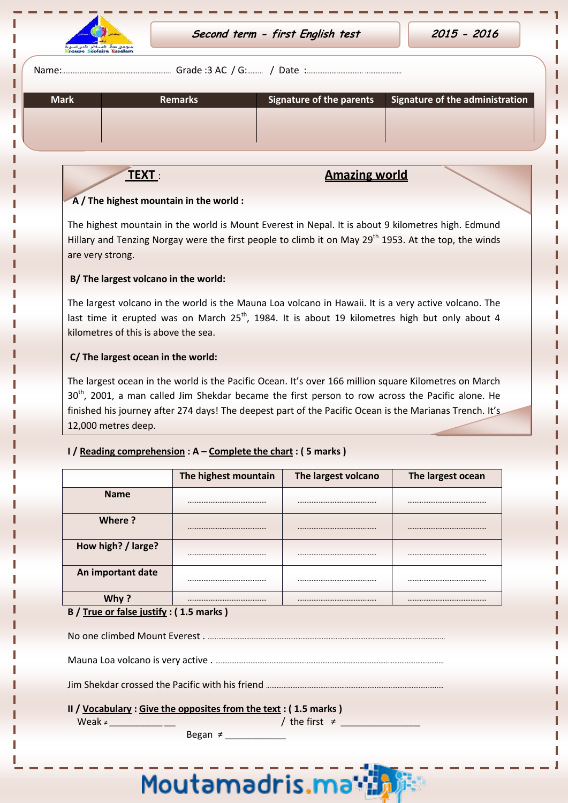

Ī

| Name: | Grade :3 AC / G: |  | Date |  |
|-------|------------------|--|------|--|
|-------|------------------|--|------|--|

| <b>Mark</b> | <b>Remarks</b> | Signature of the parents | Signature of the administration |
|-------------|----------------|--------------------------|---------------------------------|
|             |                |                          |                                 |
|             |                |                          |                                 |
|             |                |                          |                                 |

# **TEXT**: **Amazing world**

### **A / The highest mountain in the world :**

The highest mountain in the world is Mount Everest in Nepal. It is about 9 kilometres high. Edmund Hillary and Tenzing Norgay were the first people to climb it on May 29<sup>th</sup> 1953. At the top, the winds are very strong.

### **B/ The largest volcano in the world:**

The largest volcano in the world is the Mauna Loa volcano in Hawaii. It is a very active volcano. The last time it erupted was on March  $25<sup>th</sup>$ , 1984. It is about 19 kilometres high but only about 4 kilometres of this is above the sea.

### **C/ The largest ocean in the world:**

The largest ocean in the world is the Pacific Ocean. It's over 166 million square Kilometres on March  $30<sup>th</sup>$ , 2001, a man called Jim Shekdar became the first person to row across the Pacific alone. He finished his journey after 274 days! The deepest part of the Pacific Ocean is the Marianas Trench. It's 12,000 metres deep.

## **I / Reading comprehension : A – Complete the chart : ( 5 marks )**

|                    | The highest mountain | The largest volcano | The largest ocean |
|--------------------|----------------------|---------------------|-------------------|
| <b>Name</b>        |                      |                     |                   |
| Where?             |                      |                     |                   |
| How high? / large? |                      |                     |                   |
| An important date  |                      |                     |                   |
|                    |                      |                     |                   |

#### **B / True or false justify : ( 1.5 marks )**

**II / Vocabulary : Give the opposites from the text : ( 1.5 marks )** 

Began  $\neq$ 

Weak ≠ \_\_\_\_\_\_\_\_\_\_\_\_\_\_ \_\_\_ / the first ≠ \_\_\_\_\_\_\_\_\_\_\_\_\_\_\_\_\_\_\_\_\_

Moutamadris.ma